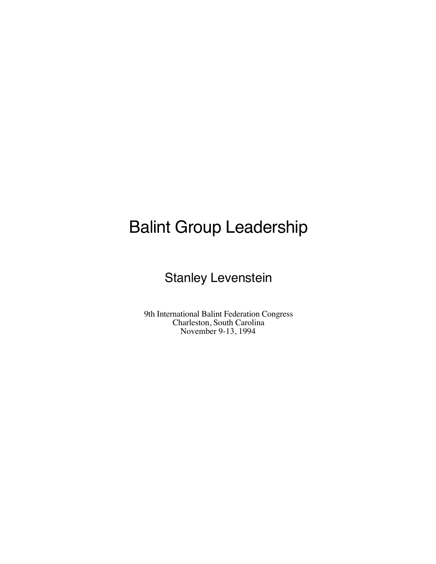# Balint Group Leadership

## Stanley Levenstein

9th International Balint Federation Congress Charleston, South Carolina November 9-13, 1994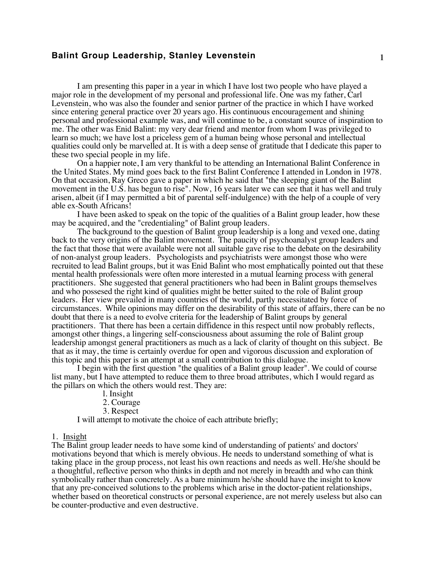## **Balint Group Leadership, Stanley Levenstein** 1

I am presenting this paper in a year in which I have lost two people who have played a major role in the development of my personal and professional life. One was my father, Carl Levenstein, who was also the founder and senior partner of the practice in which I have worked since entering general practice over 20 years ago. His continuous encouragement and shining personal and professional example was, and will continue to be, a constant source of inspiration to me. The other was Enid Balint: my very dear friend and mentor from whom I was privileged to learn so much; we have lost a priceless gem of a human being whose personal and intellectual qualities could only be marvelled at. It is with a deep sense of gratitude that I dedicate this paper to these two special people in my life.

On a happier note, I am very thankful to be attending an International Balint Conference in the United States. My mind goes back to the first Balint Conference I attended in London in 1978. On that occasion, Ray Greco gave a paper in which he said that "the sleeping giant of the Balint movement in the U.S. has begun to rise". Now, 16 years later we can see that it has well and truly arisen, albeit (if I may permitted a bit of parental self-indulgence) with the help of a couple of very able ex-South Africans!

I have been asked to speak on the topic of the qualities of a Balint group leader, how these may be acquired, and the "credentialing" of Balint group leaders.

The background to the question of Balint group leadership is a long and vexed one, dating back to the very origins of the Balint movement. The paucity of psychoanalyst group leaders and the fact that those that were available were not all suitable gave rise to the debate on the desirability of non-analyst group leaders. Psychologists and psychiatrists were amongst those who were recruited to lead Balint groups, but it was Enid Balint who most emphatically pointed out that these mental health professionals were often more interested in a mutual learning process with general practitioners. She suggested that general practitioners who had been in Balint groups themselves and who possesed the right kind of qualities might be better suited to the role of Balint group leaders. Her view prevailed in many countries of the world, partly necessitated by force of circumstances. While opinions may differ on the desirability of this state of affairs, there can be no doubt that there is a need to evolve criteria for the leadership of Balint groups by general practitioners. That there has been a certain diffidence in this respect until now probably reflects, amongst other things, a lingering self-consciousness about assuming the role of Balint group leadership amongst general practitioners as much as a lack of clarity of thought on this subject. Be that as it may, the time is certainly overdue for open and vigorous discussion and exploration of this topic and this paper is an attempt at a small contribution to this dialogue.

I begin with the first question "the qualities of a Balint group leader". We could of course list many, but I have attempted to reduce them to three broad attributes, which I would regard as the pillars on which the others would rest. They are:

l. Insight

2. Courage

3. Respect

I will attempt to motivate the choice of each attribute briefly;

#### 1. Insight

The Balint group leader needs to have some kind of understanding of patients' and doctors' motivations beyond that which is merely obvious. He needs to understand something of what is taking place in the group process, not least his own reactions and needs as well. He/she should be a thoughtful, reflective person who thinks in depth and not merely in breadth and who can think symbolically rather than concretely. As a bare minimum he/she should have the insight to know that any pre-conceived solutions to the problems which arise in the doctor-patient relationships, whether based on theoretical constructs or personal experience, are not merely useless but also can be counter-productive and even destructive.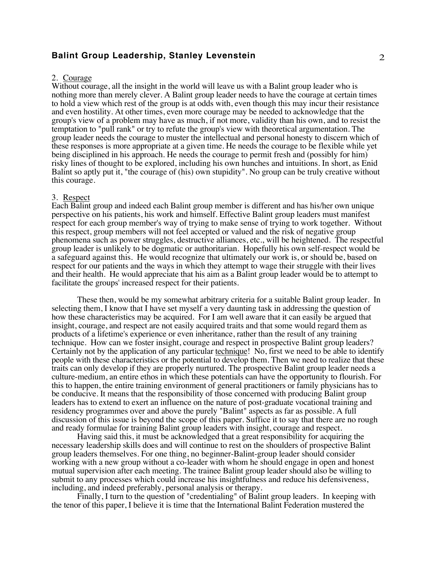## **Balint Group Leadership, Stanley Levenstein** 2

#### 2. Courage

Without courage, all the insight in the world will leave us with a Balint group leader who is nothing more than merely clever. A Balint group leader needs to have the courage at certain times to hold a view which rest of the group is at odds with, even though this may incur their resistance and even hostility. At other times, even more courage may be needed to acknowledge that the group's view of a problem may have as much, if not more, validity than his own, and to resist the temptation to "pull rank" or try to refute the group's view with theoretical argumentation. The group leader needs the courage to muster the intellectual and personal honesty to discern which of these responses is more appropriate at a given time. He needs the courage to be flexible while yet being disciplined in his approach. He needs the courage to permit fresh and (possibly for him) risky lines of thought to be explored, including his own hunches and intuitions. In short, as Enid Balint so aptly put it, "the courage of (his) own stupidity". No group can be truly creative without this courage.

#### 3. Respect

Each Balint group and indeed each Balint group member is different and has his/her own unique perspective on his patients, his work and himself. Effective Balint group leaders must manifest respect for each group member's way of trying to make sense of trying to work together. Without this respect, group members will not feel accepted or valued and the risk of negative group phenomena such as power struggles, destructive alliances, etc., will be heightened. The respectful group leader is unlikely to be dogmatic or authoritarian. Hopefully his own self-respect would be a safeguard against this. He would recognize that ultimately our work is, or should be, based on respect for our patients and the ways in which they attempt to wage their struggle with their lives and their health. He would appreciate that his aim as a Balint group leader would be to attempt to facilitate the groups' increased respect for their patients.

These then, would be my somewhat arbitrary criteria for a suitable Balint group leader. In selecting them, I know that I have set myself a very daunting task in addressing the question of how these characteristics may be acquired. For I am well aware that it can easily be argued that insight, courage, and respect are not easily acquired traits and that some would regard them as products of a lifetime's experience or even inheritance, rather than the result of any training technique. How can we foster insight, courage and respect in prospective Balint group leaders? Certainly not by the application of any particular technique! No, first we need to be able to identify people with these characteristics or the potential to develop them. Then we need to realize that these traits can only develop if they are properly nurtured. The prospective Balint group leader needs a culture-medium, an entire ethos in which these potentials can have the opportunity to flourish. For this to happen, the entire training environment of general practitioners or family physicians has to be conducive. It means that the responsibility of those concerned with producing Balint group leaders has to extend to exert an influence on the nature of post-graduate vocational training and residency programmes over and above the purely "Balint" aspects as far as possible. A full discussion of this issue is beyond the scope of this paper. Suffice it to say that there are no rough and ready formulae for training Balint group leaders with insight, courage and respect.

Having said this, it must be acknowledged that a great responsibility for acquiring the necessary leadership skills does and will continue to rest on the shoulders of prospective Balint group leaders themselves. For one thing, no beginner-Balint-group leader should consider working with a new group without a co-leader with whom he should engage in open and honest mutual supervision after each meeting. The trainee Balint group leader should also be willing to submit to any processes which could increase his insightfulness and reduce his defensiveness, including, and indeed preferably, personal analysis or therapy.

Finally, I turn to the question of "credentialing" of Balint group leaders. In keeping with the tenor of this paper, I believe it is time that the International Balint Federation mustered the